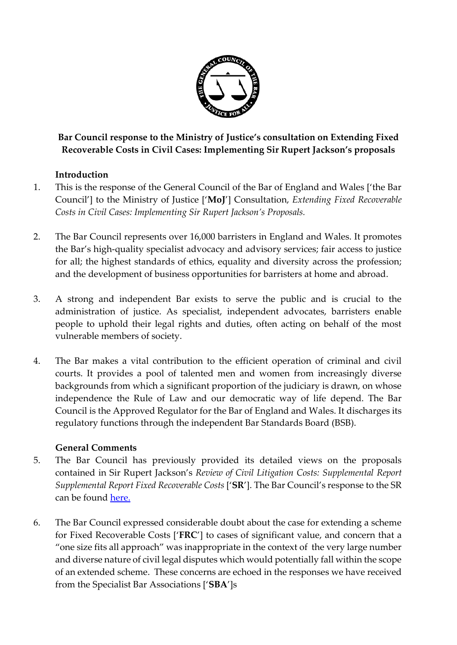

**Bar Council response to the Ministry of Justice's consultation on Extending Fixed Recoverable Costs in Civil Cases: Implementing Sir Rupert Jackson's proposals** 

## **Introduction**

- 1. This is the response of the General Council of the Bar of England and Wales ['the Bar Council'] to the Ministry of Justice ['**MoJ**'] Consultation, *Extending Fixed Recoverable Costs in Civil Cases: Implementing Sir Rupert Jackson's Proposals.*
- 2. The Bar Council represents over 16,000 barristers in England and Wales. It promotes the Bar's high-quality specialist advocacy and advisory services; fair access to justice for all; the highest standards of ethics, equality and diversity across the profession; and the development of business opportunities for barristers at home and abroad.
- 3. A strong and independent Bar exists to serve the public and is crucial to the administration of justice. As specialist, independent advocates, barristers enable people to uphold their legal rights and duties, often acting on behalf of the most vulnerable members of society.
- 4. The Bar makes a vital contribution to the efficient operation of criminal and civil courts. It provides a pool of talented men and women from increasingly diverse backgrounds from which a significant proportion of the judiciary is drawn, on whose independence the Rule of Law and our democratic way of life depend. The Bar Council is the Approved Regulator for the Bar of England and Wales. It discharges its regulatory functions through the independent Bar Standards Board (BSB).

## **General Comments**

- 5. The Bar Council has previously provided its detailed views on the proposals contained in Sir Rupert Jackson's *Review of Civil Litigation Costs: Supplemental Report Supplemental Report Fixed Recoverable Costs* ['**SR**']. The Bar Council's response to the SR can be found here.
- 6. The Bar Council expressed considerable doubt about the case for extending a scheme for Fixed Recoverable Costs ['**FRC**'] to cases of significant value, and concern that a "one size fits all approach" was inappropriate in the context of the very large number and diverse nature of civil legal disputes which would potentially fall within the scope of an extended scheme. These concerns are echoed in the responses we have received from the Specialist Bar Associations ['**SBA**']s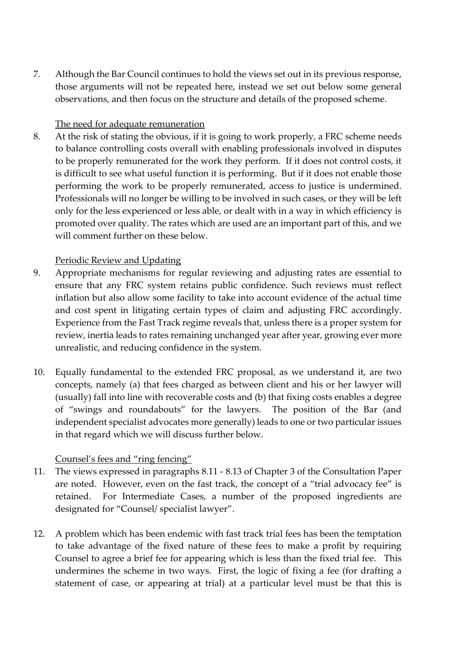7. Although the Bar Council continues to hold the views set out in its previous response, those arguments will not be repeated here, instead we set out below some general observations, and then focus on the structure and details of the proposed scheme.

## The need for adequate remuneration

8. At the risk of stating the obvious, if it is going to work properly, a FRC scheme needs to balance controlling costs overall with enabling professionals involved in disputes to be properly remunerated for the work they perform. If it does not control costs, it is difficult to see what useful function it is performing. But if it does not enable those performing the work to be properly remunerated, access to justice is undermined. Professionals will no longer be willing to be involved in such cases, or they will be left only for the less experienced or less able, or dealt with in a way in which efficiency is promoted over quality. The rates which are used are an important part of this, and we will comment further on these below.

# Periodic Review and Updating

- 9. Appropriate mechanisms for regular reviewing and adjusting rates are essential to ensure that any FRC system retains public confidence. Such reviews must reflect inflation but also allow some facility to take into account evidence of the actual time and cost spent in litigating certain types of claim and adjusting FRC accordingly. Experience from the Fast Track regime reveals that, unless there is a proper system for review, inertia leads to rates remaining unchanged year after year, growing ever more unrealistic, and reducing confidence in the system.
- 10. Equally fundamental to the extended FRC proposal, as we understand it, are two concepts, namely (a) that fees charged as between client and his or her lawyer will (usually) fall into line with recoverable costs and (b) that fixing costs enables a degree of "swings and roundabouts" for the lawyers. The position of the Bar (and independent specialist advocates more generally) leads to one or two particular issues in that regard which we will discuss further below.

# Counsel's fees and "ring fencing"

- 11. The views expressed in paragraphs 8.11 8.13 of Chapter 3 of the Consultation Paper are noted. However, even on the fast track, the concept of a "trial advocacy fee" is retained. For Intermediate Cases, a number of the proposed ingredients are designated for "Counsel/ specialist lawyer".
- 12. A problem which has been endemic with fast track trial fees has been the temptation to take advantage of the fixed nature of these fees to make a profit by requiring Counsel to agree a brief fee for appearing which is less than the fixed trial fee. This undermines the scheme in two ways. First, the logic of fixing a fee (for drafting a statement of case, or appearing at trial) at a particular level must be that this is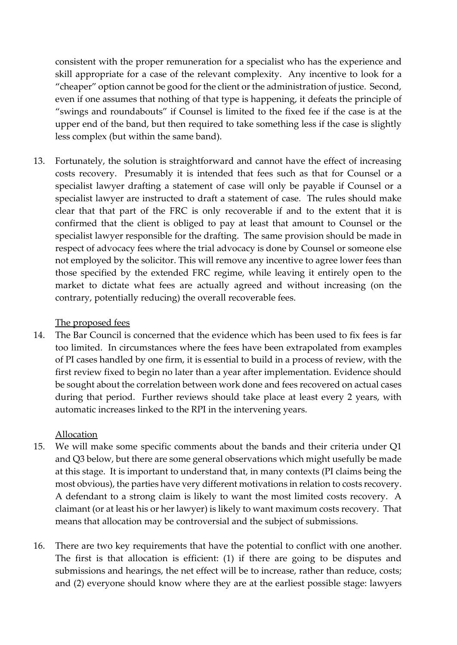consistent with the proper remuneration for a specialist who has the experience and skill appropriate for a case of the relevant complexity. Any incentive to look for a "cheaper" option cannot be good for the client or the administration of justice. Second, even if one assumes that nothing of that type is happening, it defeats the principle of "swings and roundabouts" if Counsel is limited to the fixed fee if the case is at the upper end of the band, but then required to take something less if the case is slightly less complex (but within the same band).

13. Fortunately, the solution is straightforward and cannot have the effect of increasing costs recovery. Presumably it is intended that fees such as that for Counsel or a specialist lawyer drafting a statement of case will only be payable if Counsel or a specialist lawyer are instructed to draft a statement of case. The rules should make clear that that part of the FRC is only recoverable if and to the extent that it is confirmed that the client is obliged to pay at least that amount to Counsel or the specialist lawyer responsible for the drafting. The same provision should be made in respect of advocacy fees where the trial advocacy is done by Counsel or someone else not employed by the solicitor. This will remove any incentive to agree lower fees than those specified by the extended FRC regime, while leaving it entirely open to the market to dictate what fees are actually agreed and without increasing (on the contrary, potentially reducing) the overall recoverable fees.

# The proposed fees

14. The Bar Council is concerned that the evidence which has been used to fix fees is far too limited. In circumstances where the fees have been extrapolated from examples of PI cases handled by one firm, it is essential to build in a process of review, with the first review fixed to begin no later than a year after implementation. Evidence should be sought about the correlation between work done and fees recovered on actual cases during that period. Further reviews should take place at least every 2 years, with automatic increases linked to the RPI in the intervening years.

## Allocation

- 15. We will make some specific comments about the bands and their criteria under Q1 and Q3 below, but there are some general observations which might usefully be made at this stage. It is important to understand that, in many contexts (PI claims being the most obvious), the parties have very different motivations in relation to costs recovery. A defendant to a strong claim is likely to want the most limited costs recovery. A claimant (or at least his or her lawyer) is likely to want maximum costs recovery. That means that allocation may be controversial and the subject of submissions.
- 16. There are two key requirements that have the potential to conflict with one another. The first is that allocation is efficient: (1) if there are going to be disputes and submissions and hearings, the net effect will be to increase, rather than reduce, costs; and (2) everyone should know where they are at the earliest possible stage: lawyers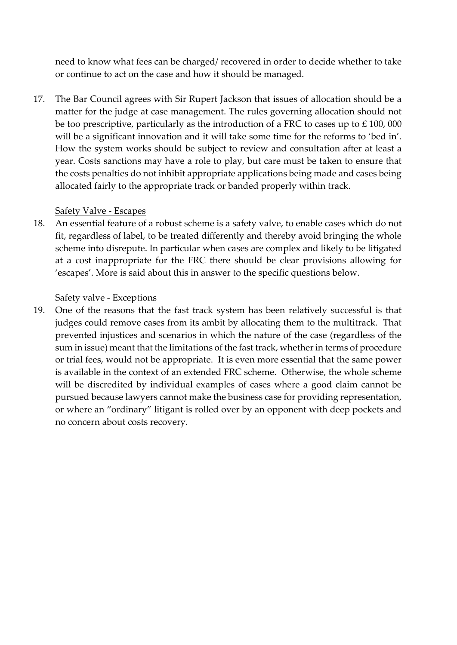need to know what fees can be charged/ recovered in order to decide whether to take or continue to act on the case and how it should be managed.

17. The Bar Council agrees with Sir Rupert Jackson that issues of allocation should be a matter for the judge at case management. The rules governing allocation should not be too prescriptive, particularly as the introduction of a FRC to cases up to  $\text{\textsterling}100$ , 000 will be a significant innovation and it will take some time for the reforms to 'bed in'. How the system works should be subject to review and consultation after at least a year. Costs sanctions may have a role to play, but care must be taken to ensure that the costs penalties do not inhibit appropriate applications being made and cases being allocated fairly to the appropriate track or banded properly within track.

Safety Valve - Escapes

18. An essential feature of a robust scheme is a safety valve, to enable cases which do not fit, regardless of label, to be treated differently and thereby avoid bringing the whole scheme into disrepute. In particular when cases are complex and likely to be litigated at a cost inappropriate for the FRC there should be clear provisions allowing for 'escapes'. More is said about this in answer to the specific questions below.

Safety valve - Exceptions

19. One of the reasons that the fast track system has been relatively successful is that judges could remove cases from its ambit by allocating them to the multitrack. That prevented injustices and scenarios in which the nature of the case (regardless of the sum in issue) meant that the limitations of the fast track, whether in terms of procedure or trial fees, would not be appropriate. It is even more essential that the same power is available in the context of an extended FRC scheme. Otherwise, the whole scheme will be discredited by individual examples of cases where a good claim cannot be pursued because lawyers cannot make the business case for providing representation, or where an "ordinary" litigant is rolled over by an opponent with deep pockets and no concern about costs recovery.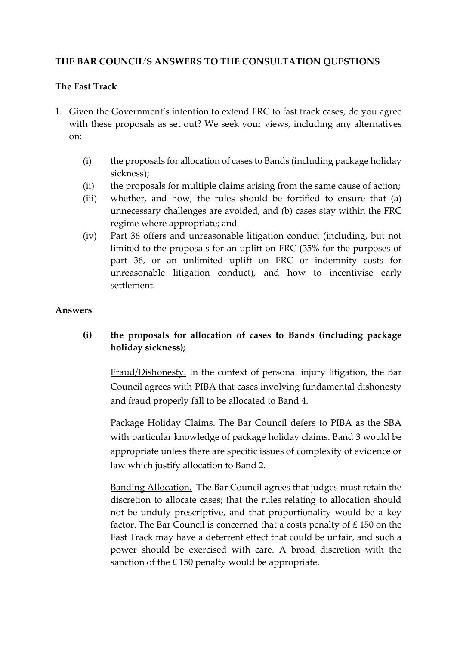## **THE BAR COUNCIL'S ANSWERS TO THE CONSULTATION QUESTIONS**

#### **The Fast Track**

- 1. Given the Government's intention to extend FRC to fast track cases, do you agree with these proposals as set out? We seek your views, including any alternatives on:
	- (i) the proposals for allocation of cases to Bands (including package holiday sickness);
	- (ii) the proposals for multiple claims arising from the same cause of action;
	- (iii) whether, and how, the rules should be fortified to ensure that (a) unnecessary challenges are avoided, and (b) cases stay within the FRC regime where appropriate; and
	- (iv) Part 36 offers and unreasonable litigation conduct (including, but not limited to the proposals for an uplift on FRC (35% for the purposes of part 36, or an unlimited uplift on FRC or indemnity costs for unreasonable litigation conduct), and how to incentivise early settlement.

#### **Answers**

# **(i) the proposals for allocation of cases to Bands (including package holiday sickness);**

Fraud/Dishonesty. In the context of personal injury litigation, the Bar Council agrees with PIBA that cases involving fundamental dishonesty and fraud properly fall to be allocated to Band 4.

Package Holiday Claims. The Bar Council defers to PIBA as the SBA with particular knowledge of package holiday claims. Band 3 would be appropriate unless there are specific issues of complexity of evidence or law which justify allocation to Band 2.

Banding Allocation. The Bar Council agrees that judges must retain the discretion to allocate cases; that the rules relating to allocation should not be unduly prescriptive, and that proportionality would be a key factor. The Bar Council is concerned that a costs penalty of  $\text{\textsterling} 150$  on the Fast Track may have a deterrent effect that could be unfair, and such a power should be exercised with care. A broad discretion with the sanction of the  $£$  150 penalty would be appropriate.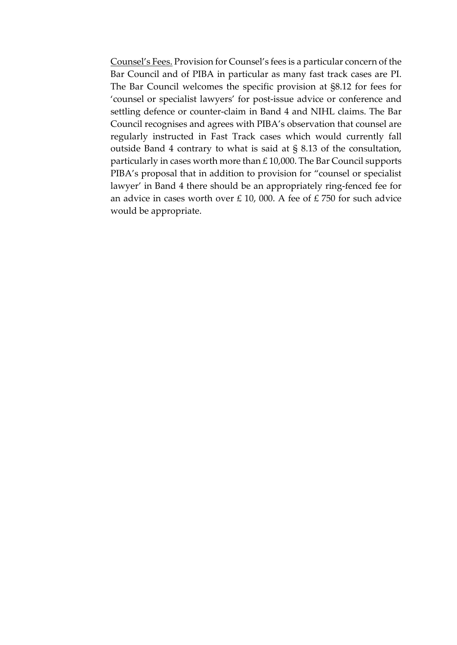Counsel's Fees. Provision for Counsel's fees is a particular concern of the Bar Council and of PIBA in particular as many fast track cases are PI. The Bar Council welcomes the specific provision at §8.12 for fees for 'counsel or specialist lawyers' for post-issue advice or conference and settling defence or counter-claim in Band 4 and NIHL claims. The Bar Council recognises and agrees with PIBA's observation that counsel are regularly instructed in Fast Track cases which would currently fall outside Band 4 contrary to what is said at § 8.13 of the consultation, particularly in cases worth more than £ 10,000. The Bar Council supports PIBA's proposal that in addition to provision for "counsel or specialist lawyer' in Band 4 there should be an appropriately ring-fenced fee for an advice in cases worth over  $£ 10,000$ . A fee of  $£ 750$  for such advice would be appropriate.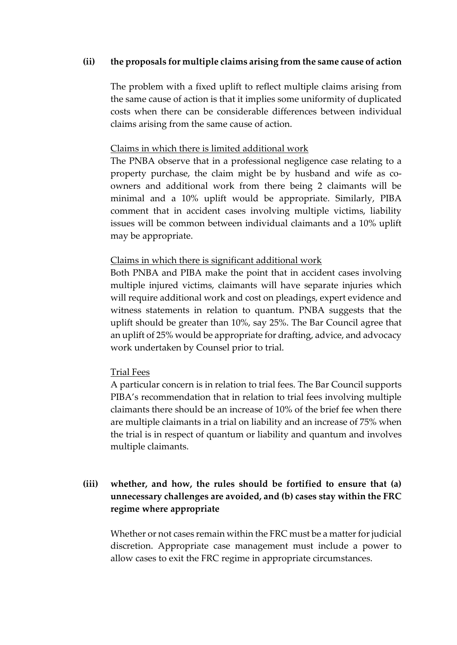#### **(ii) the proposals for multiple claims arising from the same cause of action**

The problem with a fixed uplift to reflect multiple claims arising from the same cause of action is that it implies some uniformity of duplicated costs when there can be considerable differences between individual claims arising from the same cause of action.

#### Claims in which there is limited additional work

The PNBA observe that in a professional negligence case relating to a property purchase, the claim might be by husband and wife as coowners and additional work from there being 2 claimants will be minimal and a 10% uplift would be appropriate. Similarly, PIBA comment that in accident cases involving multiple victims, liability issues will be common between individual claimants and a 10% uplift may be appropriate.

#### Claims in which there is significant additional work

Both PNBA and PIBA make the point that in accident cases involving multiple injured victims, claimants will have separate injuries which will require additional work and cost on pleadings, expert evidence and witness statements in relation to quantum. PNBA suggests that the uplift should be greater than 10%, say 25%. The Bar Council agree that an uplift of 25% would be appropriate for drafting, advice, and advocacy work undertaken by Counsel prior to trial.

#### Trial Fees

A particular concern is in relation to trial fees. The Bar Council supports PIBA's recommendation that in relation to trial fees involving multiple claimants there should be an increase of 10% of the brief fee when there are multiple claimants in a trial on liability and an increase of 75% when the trial is in respect of quantum or liability and quantum and involves multiple claimants.

# **(iii) whether, and how, the rules should be fortified to ensure that (a) unnecessary challenges are avoided, and (b) cases stay within the FRC regime where appropriate**

Whether or not cases remain within the FRC must be a matter for judicial discretion. Appropriate case management must include a power to allow cases to exit the FRC regime in appropriate circumstances.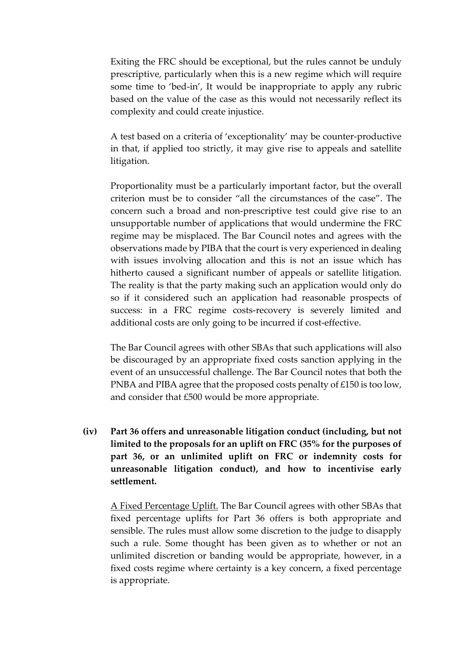Exiting the FRC should be exceptional, but the rules cannot be unduly prescriptive, particularly when this is a new regime which will require some time to 'bed-in', It would be inappropriate to apply any rubric based on the value of the case as this would not necessarily reflect its complexity and could create injustice.

A test based on a criteria of 'exceptionality' may be counter-productive in that, if applied too strictly, it may give rise to appeals and satellite litigation.

Proportionality must be a particularly important factor, but the overall criterion must be to consider "all the circumstances of the case". The concern such a broad and non-prescriptive test could give rise to an unsupportable number of applications that would undermine the FRC regime may be misplaced. The Bar Council notes and agrees with the observations made by PIBA that the court is very experienced in dealing with issues involving allocation and this is not an issue which has hitherto caused a significant number of appeals or satellite litigation. The reality is that the party making such an application would only do so if it considered such an application had reasonable prospects of success: in a FRC regime costs-recovery is severely limited and additional costs are only going to be incurred if cost-effective.

The Bar Council agrees with other SBAs that such applications will also be discouraged by an appropriate fixed costs sanction applying in the event of an unsuccessful challenge. The Bar Council notes that both the PNBA and PIBA agree that the proposed costs penalty of £150 is too low, and consider that £500 would be more appropriate.

**(iv) Part 36 offers and unreasonable litigation conduct (including, but not limited to the proposals for an uplift on FRC (35% for the purposes of part 36, or an unlimited uplift on FRC or indemnity costs for unreasonable litigation conduct), and how to incentivise early settlement.** 

A Fixed Percentage Uplift. The Bar Council agrees with other SBAs that fixed percentage uplifts for Part 36 offers is both appropriate and sensible. The rules must allow some discretion to the judge to disapply such a rule. Some thought has been given as to whether or not an unlimited discretion or banding would be appropriate, however, in a fixed costs regime where certainty is a key concern, a fixed percentage is appropriate.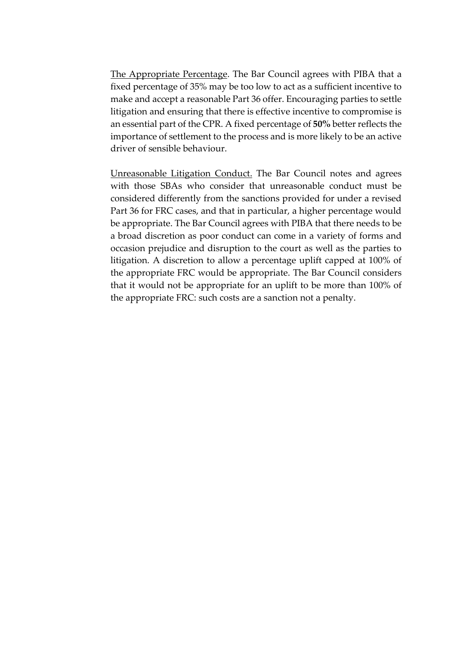The Appropriate Percentage. The Bar Council agrees with PIBA that a fixed percentage of 35% may be too low to act as a sufficient incentive to make and accept a reasonable Part 36 offer. Encouraging parties to settle litigation and ensuring that there is effective incentive to compromise is an essential part of the CPR. A fixed percentage of **50%** better reflects the importance of settlement to the process and is more likely to be an active driver of sensible behaviour.

Unreasonable Litigation Conduct. The Bar Council notes and agrees with those SBAs who consider that unreasonable conduct must be considered differently from the sanctions provided for under a revised Part 36 for FRC cases, and that in particular, a higher percentage would be appropriate. The Bar Council agrees with PIBA that there needs to be a broad discretion as poor conduct can come in a variety of forms and occasion prejudice and disruption to the court as well as the parties to litigation. A discretion to allow a percentage uplift capped at 100% of the appropriate FRC would be appropriate. The Bar Council considers that it would not be appropriate for an uplift to be more than 100% of the appropriate FRC: such costs are a sanction not a penalty.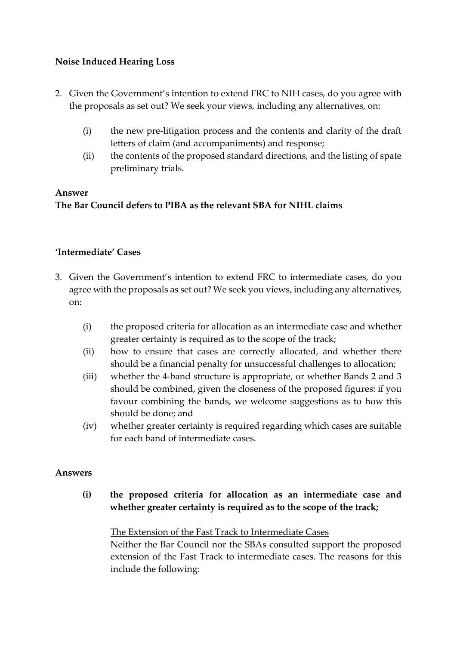# **Noise Induced Hearing Loss**

- 2. Given the Government's intention to extend FRC to NIH cases, do you agree with the proposals as set out? We seek your views, including any alternatives, on:
	- (i) the new pre-litigation process and the contents and clarity of the draft letters of claim (and accompaniments) and response;
	- (ii) the contents of the proposed standard directions, and the listing of spate preliminary trials.

## **Answer**

# **The Bar Council defers to PIBA as the relevant SBA for NIHL claims**

#### **'Intermediate' Cases**

- 3. Given the Government's intention to extend FRC to intermediate cases, do you agree with the proposals as set out? We seek you views, including any alternatives, on:
	- (i) the proposed criteria for allocation as an intermediate case and whether greater certainty is required as to the scope of the track;
	- (ii) how to ensure that cases are correctly allocated, and whether there should be a financial penalty for unsuccessful challenges to allocation;
	- (iii) whether the 4-band structure is appropriate, or whether Bands 2 and 3 should be combined, given the closeness of the proposed figures: if you favour combining the bands, we welcome suggestions as to how this should be done; and
	- (iv) whether greater certainty is required regarding which cases are suitable for each band of intermediate cases.

## **Answers**

**(i) the proposed criteria for allocation as an intermediate case and whether greater certainty is required as to the scope of the track;** 

## The Extension of the Fast Track to Intermediate Cases

Neither the Bar Council nor the SBAs consulted support the proposed extension of the Fast Track to intermediate cases. The reasons for this include the following: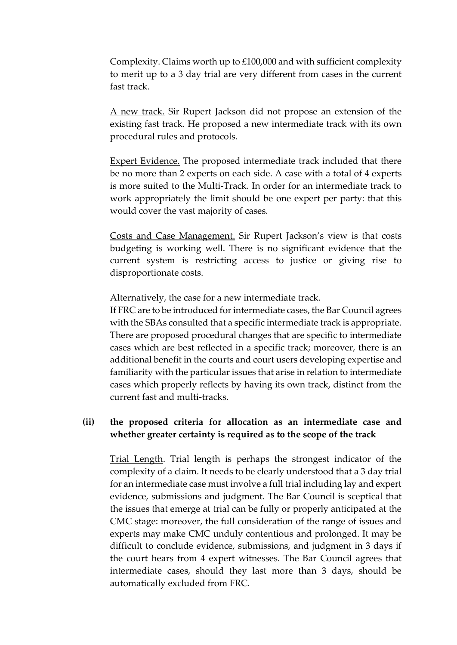Complexity. Claims worth up to £100,000 and with sufficient complexity to merit up to a 3 day trial are very different from cases in the current fast track.

A new track. Sir Rupert Jackson did not propose an extension of the existing fast track. He proposed a new intermediate track with its own procedural rules and protocols.

Expert Evidence. The proposed intermediate track included that there be no more than 2 experts on each side. A case with a total of 4 experts is more suited to the Multi-Track. In order for an intermediate track to work appropriately the limit should be one expert per party: that this would cover the vast majority of cases.

Costs and Case Management. Sir Rupert Jackson's view is that costs budgeting is working well. There is no significant evidence that the current system is restricting access to justice or giving rise to disproportionate costs.

#### Alternatively, the case for a new intermediate track.

If FRC are to be introduced for intermediate cases, the Bar Council agrees with the SBAs consulted that a specific intermediate track is appropriate. There are proposed procedural changes that are specific to intermediate cases which are best reflected in a specific track; moreover, there is an additional benefit in the courts and court users developing expertise and familiarity with the particular issues that arise in relation to intermediate cases which properly reflects by having its own track, distinct from the current fast and multi-tracks.

# **(ii) the proposed criteria for allocation as an intermediate case and whether greater certainty is required as to the scope of the track**

Trial Length. Trial length is perhaps the strongest indicator of the complexity of a claim. It needs to be clearly understood that a 3 day trial for an intermediate case must involve a full trial including lay and expert evidence, submissions and judgment. The Bar Council is sceptical that the issues that emerge at trial can be fully or properly anticipated at the CMC stage: moreover, the full consideration of the range of issues and experts may make CMC unduly contentious and prolonged. It may be difficult to conclude evidence, submissions, and judgment in 3 days if the court hears from 4 expert witnesses. The Bar Council agrees that intermediate cases, should they last more than 3 days, should be automatically excluded from FRC.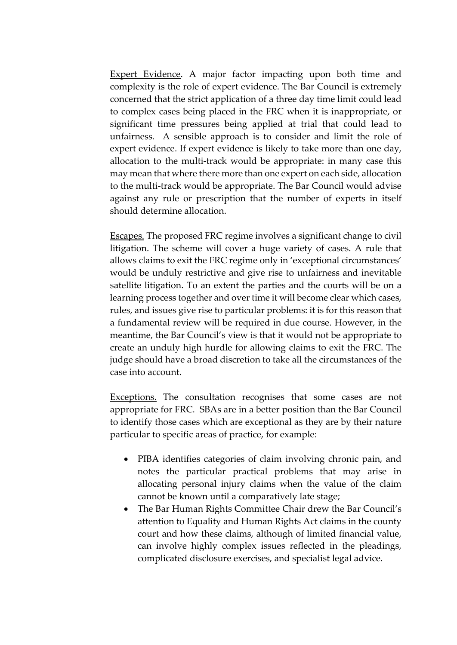Expert Evidence. A major factor impacting upon both time and complexity is the role of expert evidence. The Bar Council is extremely concerned that the strict application of a three day time limit could lead to complex cases being placed in the FRC when it is inappropriate, or significant time pressures being applied at trial that could lead to unfairness. A sensible approach is to consider and limit the role of expert evidence. If expert evidence is likely to take more than one day, allocation to the multi-track would be appropriate: in many case this may mean that where there more than one expert on each side, allocation to the multi-track would be appropriate. The Bar Council would advise against any rule or prescription that the number of experts in itself should determine allocation.

Escapes. The proposed FRC regime involves a significant change to civil litigation. The scheme will cover a huge variety of cases. A rule that allows claims to exit the FRC regime only in 'exceptional circumstances' would be unduly restrictive and give rise to unfairness and inevitable satellite litigation. To an extent the parties and the courts will be on a learning process together and over time it will become clear which cases, rules, and issues give rise to particular problems: it is for this reason that a fundamental review will be required in due course. However, in the meantime, the Bar Council's view is that it would not be appropriate to create an unduly high hurdle for allowing claims to exit the FRC. The judge should have a broad discretion to take all the circumstances of the case into account.

Exceptions. The consultation recognises that some cases are not appropriate for FRC. SBAs are in a better position than the Bar Council to identify those cases which are exceptional as they are by their nature particular to specific areas of practice, for example:

- PIBA identifies categories of claim involving chronic pain, and notes the particular practical problems that may arise in allocating personal injury claims when the value of the claim cannot be known until a comparatively late stage;
- The Bar Human Rights Committee Chair drew the Bar Council's attention to Equality and Human Rights Act claims in the county court and how these claims, although of limited financial value, can involve highly complex issues reflected in the pleadings, complicated disclosure exercises, and specialist legal advice.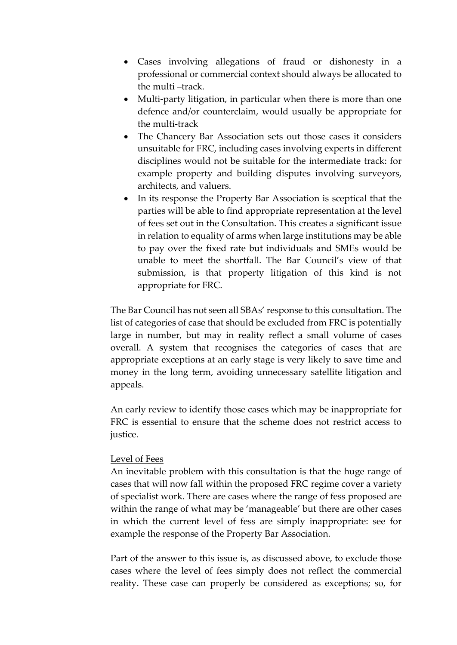- Cases involving allegations of fraud or dishonesty in a professional or commercial context should always be allocated to the multi –track.
- Multi-party litigation, in particular when there is more than one defence and/or counterclaim, would usually be appropriate for the multi-track
- The Chancery Bar Association sets out those cases it considers unsuitable for FRC, including cases involving experts in different disciplines would not be suitable for the intermediate track: for example property and building disputes involving surveyors, architects, and valuers.
- In its response the Property Bar Association is sceptical that the parties will be able to find appropriate representation at the level of fees set out in the Consultation. This creates a significant issue in relation to equality of arms when large institutions may be able to pay over the fixed rate but individuals and SMEs would be unable to meet the shortfall. The Bar Council's view of that submission, is that property litigation of this kind is not appropriate for FRC.

The Bar Council has not seen all SBAs' response to this consultation. The list of categories of case that should be excluded from FRC is potentially large in number, but may in reality reflect a small volume of cases overall. A system that recognises the categories of cases that are appropriate exceptions at an early stage is very likely to save time and money in the long term, avoiding unnecessary satellite litigation and appeals.

An early review to identify those cases which may be inappropriate for FRC is essential to ensure that the scheme does not restrict access to justice.

#### Level of Fees

An inevitable problem with this consultation is that the huge range of cases that will now fall within the proposed FRC regime cover a variety of specialist work. There are cases where the range of fess proposed are within the range of what may be 'manageable' but there are other cases in which the current level of fess are simply inappropriate: see for example the response of the Property Bar Association.

Part of the answer to this issue is, as discussed above, to exclude those cases where the level of fees simply does not reflect the commercial reality. These case can properly be considered as exceptions; so, for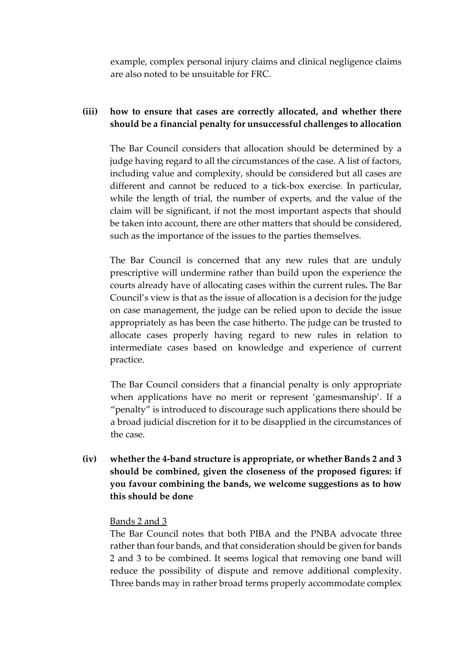example, complex personal injury claims and clinical negligence claims are also noted to be unsuitable for FRC.

# **(iii) how to ensure that cases are correctly allocated, and whether there should be a financial penalty for unsuccessful challenges to allocation**

The Bar Council considers that allocation should be determined by a judge having regard to all the circumstances of the case. A list of factors, including value and complexity, should be considered but all cases are different and cannot be reduced to a tick-box exercise. In particular, while the length of trial, the number of experts, and the value of the claim will be significant, if not the most important aspects that should be taken into account, there are other matters that should be considered, such as the importance of the issues to the parties themselves.

The Bar Council is concerned that any new rules that are unduly prescriptive will undermine rather than build upon the experience the courts already have of allocating cases within the current rules**.** The Bar Council's view is that as the issue of allocation is a decision for the judge on case management, the judge can be relied upon to decide the issue appropriately as has been the case hitherto. The judge can be trusted to allocate cases properly having regard to new rules in relation to intermediate cases based on knowledge and experience of current practice.

The Bar Council considers that a financial penalty is only appropriate when applications have no merit or represent 'gamesmanship'. If a "penalty" is introduced to discourage such applications there should be a broad judicial discretion for it to be disapplied in the circumstances of the case.

**(iv) whether the 4-band structure is appropriate, or whether Bands 2 and 3 should be combined, given the closeness of the proposed figures: if you favour combining the bands, we welcome suggestions as to how this should be done** 

#### Bands 2 and 3

The Bar Council notes that both PIBA and the PNBA advocate three rather than four bands, and that consideration should be given for bands 2 and 3 to be combined. It seems logical that removing one band will reduce the possibility of dispute and remove additional complexity. Three bands may in rather broad terms properly accommodate complex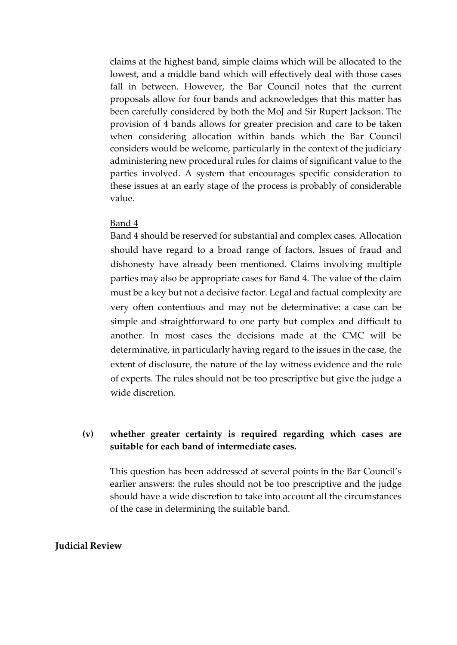claims at the highest band, simple claims which will be allocated to the lowest, and a middle band which will effectively deal with those cases fall in between. However, the Bar Council notes that the current proposals allow for four bands and acknowledges that this matter has been carefully considered by both the MoJ and Sir Rupert Jackson. The provision of 4 bands allows for greater precision and care to be taken when considering allocation within bands which the Bar Council considers would be welcome, particularly in the context of the judiciary administering new procedural rules for claims of significant value to the parties involved. A system that encourages specific consideration to these issues at an early stage of the process is probably of considerable value.

#### Band 4

Band 4 should be reserved for substantial and complex cases. Allocation should have regard to a broad range of factors. Issues of fraud and dishonesty have already been mentioned. Claims involving multiple parties may also be appropriate cases for Band 4. The value of the claim must be a key but not a decisive factor. Legal and factual complexity are very often contentious and may not be determinative: a case can be simple and straightforward to one party but complex and difficult to another. In most cases the decisions made at the CMC will be determinative, in particularly having regard to the issues in the case, the extent of disclosure, the nature of the lay witness evidence and the role of experts. The rules should not be too prescriptive but give the judge a wide discretion.

#### **(v) whether greater certainty is required regarding which cases are suitable for each band of intermediate cases.**

This question has been addressed at several points in the Bar Council's earlier answers: the rules should not be too prescriptive and the judge should have a wide discretion to take into account all the circumstances of the case in determining the suitable band.

#### **Judicial Review**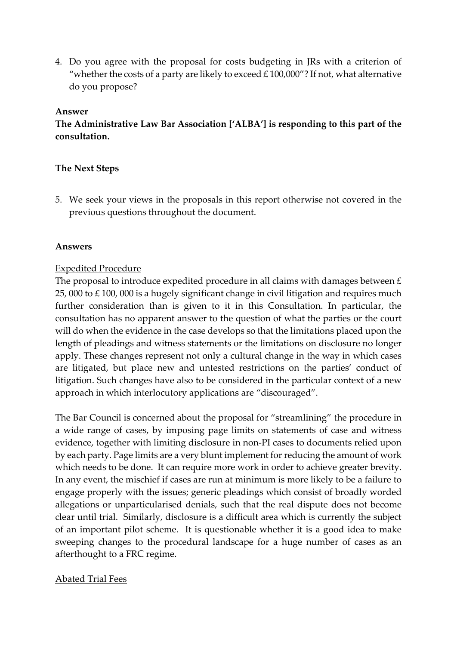4. Do you agree with the proposal for costs budgeting in JRs with a criterion of "whether the costs of a party are likely to exceed  $\text{\textsterling}100,000$ "? If not, what alternative do you propose?

#### **Answer**

**The Administrative Law Bar Association ['ALBA'] is responding to this part of the consultation.** 

## **The Next Steps**

5. We seek your views in the proposals in this report otherwise not covered in the previous questions throughout the document.

#### **Answers**

#### Expedited Procedure

The proposal to introduce expedited procedure in all claims with damages between  $E$ 25, 000 to  $\text{\textsterling}100$ , 000 is a hugely significant change in civil litigation and requires much further consideration than is given to it in this Consultation. In particular, the consultation has no apparent answer to the question of what the parties or the court will do when the evidence in the case develops so that the limitations placed upon the length of pleadings and witness statements or the limitations on disclosure no longer apply. These changes represent not only a cultural change in the way in which cases are litigated, but place new and untested restrictions on the parties' conduct of litigation. Such changes have also to be considered in the particular context of a new approach in which interlocutory applications are "discouraged".

The Bar Council is concerned about the proposal for "streamlining" the procedure in a wide range of cases, by imposing page limits on statements of case and witness evidence, together with limiting disclosure in non-PI cases to documents relied upon by each party. Page limits are a very blunt implement for reducing the amount of work which needs to be done. It can require more work in order to achieve greater brevity. In any event, the mischief if cases are run at minimum is more likely to be a failure to engage properly with the issues; generic pleadings which consist of broadly worded allegations or unparticularised denials, such that the real dispute does not become clear until trial. Similarly, disclosure is a difficult area which is currently the subject of an important pilot scheme. It is questionable whether it is a good idea to make sweeping changes to the procedural landscape for a huge number of cases as an afterthought to a FRC regime.

#### Abated Trial Fees